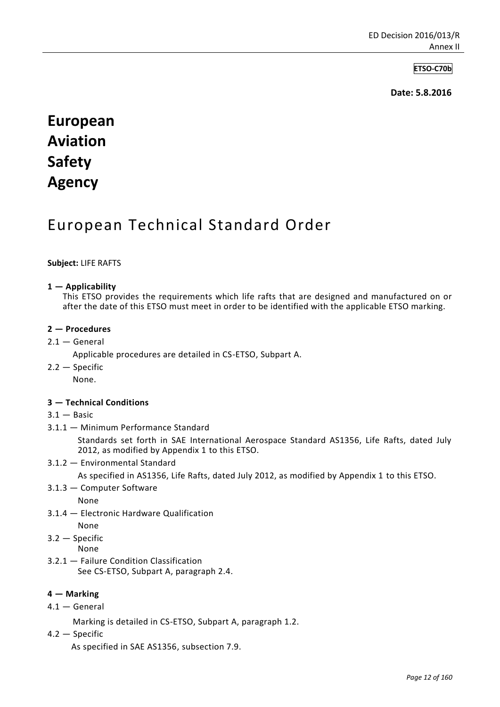## **ETSO-C70b**

 **Date: 5.8.2016**

# **European Aviation Safety Agency**

# European Technical Standard Order

#### **Subject:** LIFE RAFTS

#### **1 — Applicability**

 This ETSO provides the requirements which life rafts that are designed and manufactured on or after the date of this ETSO must meet in order to be identified with the applicable ETSO marking.

#### **2 — Procedures**

 $2.1 -$  General

Applicable procedures are detailed in CS-ETSO, Subpart A.

2.2 — Specific

None.

#### **3 — Technical Conditions**

- $3.1 -$ Basic
- 3.1.1 Minimum Performance Standard

 Standards set forth in SAE International Aerospace Standard AS1356, Life Rafts, dated July 2012, as modified by Appendix 1 to this ETSO.

3.1.2 — Environmental Standard

As specified in AS1356, Life Rafts, dated July 2012, as modified by Appendix 1 to this ETSO.

3.1.3 — Computer Software

None

3.1.4 — Electronic Hardware Qualification

None

- 3.2 Specific
	- None
- 3.2.1 Failure Condition Classification See CS-ETSO, Subpart A, paragraph 2.4.

#### **4 — Marking**

 $4.1 -$  General

Marking is detailed in CS-ETSO, Subpart A, paragraph 1.2.

4.2 — Specific

As specified in SAE AS1356, subsection 7.9.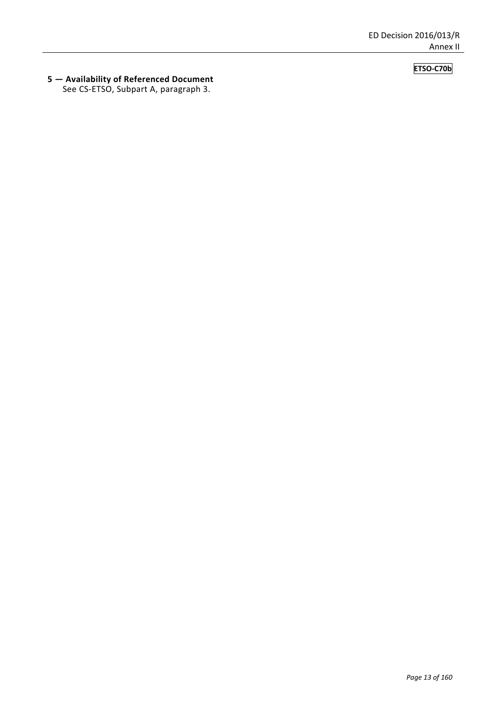# **ETSO-C70b**

#### **5 — Availability of Referenced Document**  See CS-ETSO, Subpart A, paragraph 3.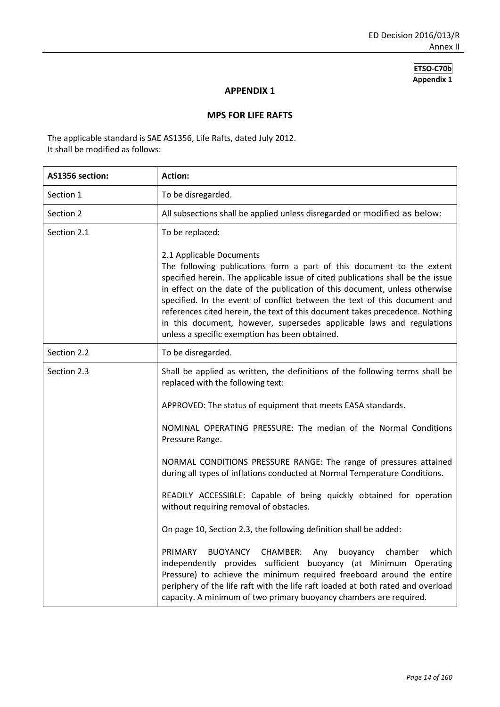### **APPENDIX 1**

#### **MPS FOR LIFE RAFTS**

The applicable standard is SAE AS1356, Life Rafts, dated July 2012. It shall be modified as follows:

| AS1356 section: | <b>Action:</b>                                                                                                                                                                                                                                                                                                                                                                                                                                                                                                                                              |
|-----------------|-------------------------------------------------------------------------------------------------------------------------------------------------------------------------------------------------------------------------------------------------------------------------------------------------------------------------------------------------------------------------------------------------------------------------------------------------------------------------------------------------------------------------------------------------------------|
| Section 1       | To be disregarded.                                                                                                                                                                                                                                                                                                                                                                                                                                                                                                                                          |
| Section 2       | All subsections shall be applied unless disregarded or modified as below:                                                                                                                                                                                                                                                                                                                                                                                                                                                                                   |
| Section 2.1     | To be replaced:                                                                                                                                                                                                                                                                                                                                                                                                                                                                                                                                             |
|                 | 2.1 Applicable Documents<br>The following publications form a part of this document to the extent<br>specified herein. The applicable issue of cited publications shall be the issue<br>in effect on the date of the publication of this document, unless otherwise<br>specified. In the event of conflict between the text of this document and<br>references cited herein, the text of this document takes precedence. Nothing<br>in this document, however, supersedes applicable laws and regulations<br>unless a specific exemption has been obtained. |
| Section 2.2     | To be disregarded.                                                                                                                                                                                                                                                                                                                                                                                                                                                                                                                                          |
| Section 2.3     | Shall be applied as written, the definitions of the following terms shall be<br>replaced with the following text:                                                                                                                                                                                                                                                                                                                                                                                                                                           |
|                 | APPROVED: The status of equipment that meets EASA standards.                                                                                                                                                                                                                                                                                                                                                                                                                                                                                                |
|                 | NOMINAL OPERATING PRESSURE: The median of the Normal Conditions<br>Pressure Range.                                                                                                                                                                                                                                                                                                                                                                                                                                                                          |
|                 | NORMAL CONDITIONS PRESSURE RANGE: The range of pressures attained<br>during all types of inflations conducted at Normal Temperature Conditions.                                                                                                                                                                                                                                                                                                                                                                                                             |
|                 | READILY ACCESSIBLE: Capable of being quickly obtained for operation<br>without requiring removal of obstacles.                                                                                                                                                                                                                                                                                                                                                                                                                                              |
|                 | On page 10, Section 2.3, the following definition shall be added:                                                                                                                                                                                                                                                                                                                                                                                                                                                                                           |
|                 | PRIMARY<br>BUOYANCY CHAMBER:<br>buoyancy<br>chamber<br>which<br>Any<br>independently provides sufficient buoyancy (at Minimum Operating<br>Pressure) to achieve the minimum required freeboard around the entire<br>periphery of the life raft with the life raft loaded at both rated and overload<br>capacity. A minimum of two primary buoyancy chambers are required.                                                                                                                                                                                   |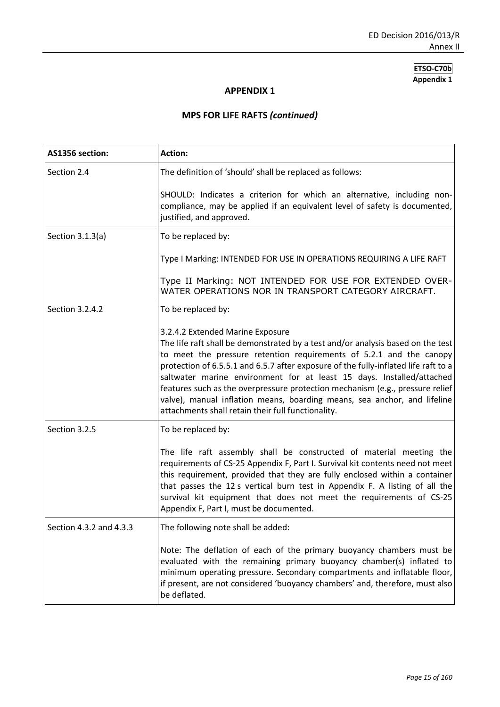# **APPENDIX 1**

# **MPS FOR LIFE RAFTS** *(continued)*

| AS1356 section:         | <b>Action:</b>                                                                                                                                                                                                                                                                                                                                                                                                                                                                                                                                                                |
|-------------------------|-------------------------------------------------------------------------------------------------------------------------------------------------------------------------------------------------------------------------------------------------------------------------------------------------------------------------------------------------------------------------------------------------------------------------------------------------------------------------------------------------------------------------------------------------------------------------------|
| Section 2.4             | The definition of 'should' shall be replaced as follows:                                                                                                                                                                                                                                                                                                                                                                                                                                                                                                                      |
|                         | SHOULD: Indicates a criterion for which an alternative, including non-<br>compliance, may be applied if an equivalent level of safety is documented,<br>justified, and approved.                                                                                                                                                                                                                                                                                                                                                                                              |
| Section $3.1.3(a)$      | To be replaced by:                                                                                                                                                                                                                                                                                                                                                                                                                                                                                                                                                            |
|                         | Type I Marking: INTENDED FOR USE IN OPERATIONS REQUIRING A LIFE RAFT                                                                                                                                                                                                                                                                                                                                                                                                                                                                                                          |
|                         | Type II Marking: NOT INTENDED FOR USE FOR EXTENDED OVER-<br>WATER OPERATIONS NOR IN TRANSPORT CATEGORY AIRCRAFT.                                                                                                                                                                                                                                                                                                                                                                                                                                                              |
| Section 3.2.4.2         | To be replaced by:                                                                                                                                                                                                                                                                                                                                                                                                                                                                                                                                                            |
|                         | 3.2.4.2 Extended Marine Exposure<br>The life raft shall be demonstrated by a test and/or analysis based on the test<br>to meet the pressure retention requirements of 5.2.1 and the canopy<br>protection of 6.5.5.1 and 6.5.7 after exposure of the fully-inflated life raft to a<br>saltwater marine environment for at least 15 days. Installed/attached<br>features such as the overpressure protection mechanism (e.g., pressure relief<br>valve), manual inflation means, boarding means, sea anchor, and lifeline<br>attachments shall retain their full functionality. |
| Section 3.2.5           | To be replaced by:                                                                                                                                                                                                                                                                                                                                                                                                                                                                                                                                                            |
|                         | The life raft assembly shall be constructed of material meeting the<br>requirements of CS-25 Appendix F, Part I. Survival kit contents need not meet<br>this requirement, provided that they are fully enclosed within a container<br>that passes the 12 s vertical burn test in Appendix F. A listing of all the<br>survival kit equipment that does not meet the requirements of CS-25<br>Appendix F, Part I, must be documented.                                                                                                                                           |
| Section 4.3.2 and 4.3.3 | The following note shall be added:                                                                                                                                                                                                                                                                                                                                                                                                                                                                                                                                            |
|                         | Note: The deflation of each of the primary buoyancy chambers must be<br>evaluated with the remaining primary buoyancy chamber(s) inflated to<br>minimum operating pressure. Secondary compartments and inflatable floor,<br>if present, are not considered 'buoyancy chambers' and, therefore, must also<br>be deflated.                                                                                                                                                                                                                                                      |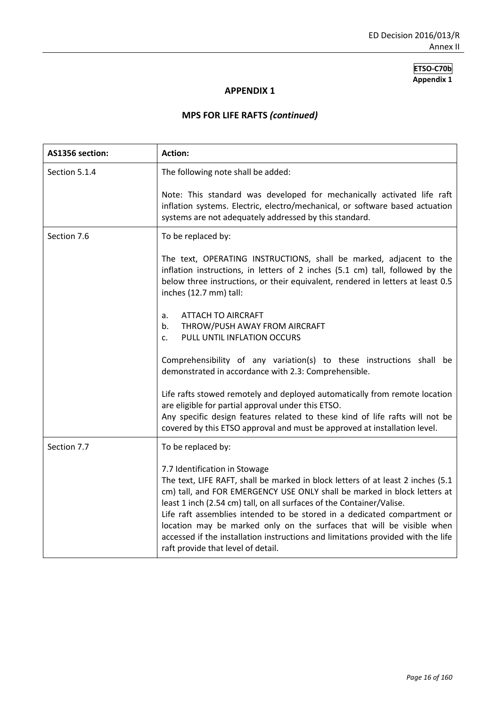# **APPENDIX 1**

# **MPS FOR LIFE RAFTS** *(continued)*

| AS1356 section: | <b>Action:</b>                                                                                                                                                                                                                                                                                                                                                                                                                                                                                                                                       |
|-----------------|------------------------------------------------------------------------------------------------------------------------------------------------------------------------------------------------------------------------------------------------------------------------------------------------------------------------------------------------------------------------------------------------------------------------------------------------------------------------------------------------------------------------------------------------------|
| Section 5.1.4   | The following note shall be added:                                                                                                                                                                                                                                                                                                                                                                                                                                                                                                                   |
|                 | Note: This standard was developed for mechanically activated life raft<br>inflation systems. Electric, electro/mechanical, or software based actuation<br>systems are not adequately addressed by this standard.                                                                                                                                                                                                                                                                                                                                     |
| Section 7.6     | To be replaced by:                                                                                                                                                                                                                                                                                                                                                                                                                                                                                                                                   |
|                 | The text, OPERATING INSTRUCTIONS, shall be marked, adjacent to the<br>inflation instructions, in letters of 2 inches (5.1 cm) tall, followed by the<br>below three instructions, or their equivalent, rendered in letters at least 0.5<br>inches (12.7 mm) tall:                                                                                                                                                                                                                                                                                     |
|                 | <b>ATTACH TO AIRCRAFT</b><br>a.                                                                                                                                                                                                                                                                                                                                                                                                                                                                                                                      |
|                 | THROW/PUSH AWAY FROM AIRCRAFT<br>b.                                                                                                                                                                                                                                                                                                                                                                                                                                                                                                                  |
|                 | PULL UNTIL INFLATION OCCURS<br>$\mathsf{C}$ .                                                                                                                                                                                                                                                                                                                                                                                                                                                                                                        |
|                 | Comprehensibility of any variation(s) to these instructions shall be<br>demonstrated in accordance with 2.3: Comprehensible.                                                                                                                                                                                                                                                                                                                                                                                                                         |
|                 | Life rafts stowed remotely and deployed automatically from remote location<br>are eligible for partial approval under this ETSO.<br>Any specific design features related to these kind of life rafts will not be<br>covered by this ETSO approval and must be approved at installation level.                                                                                                                                                                                                                                                        |
| Section 7.7     | To be replaced by:                                                                                                                                                                                                                                                                                                                                                                                                                                                                                                                                   |
|                 | 7.7 Identification in Stowage<br>The text, LIFE RAFT, shall be marked in block letters of at least 2 inches (5.1<br>cm) tall, and FOR EMERGENCY USE ONLY shall be marked in block letters at<br>least 1 inch (2.54 cm) tall, on all surfaces of the Container/Valise.<br>Life raft assemblies intended to be stored in a dedicated compartment or<br>location may be marked only on the surfaces that will be visible when<br>accessed if the installation instructions and limitations provided with the life<br>raft provide that level of detail. |